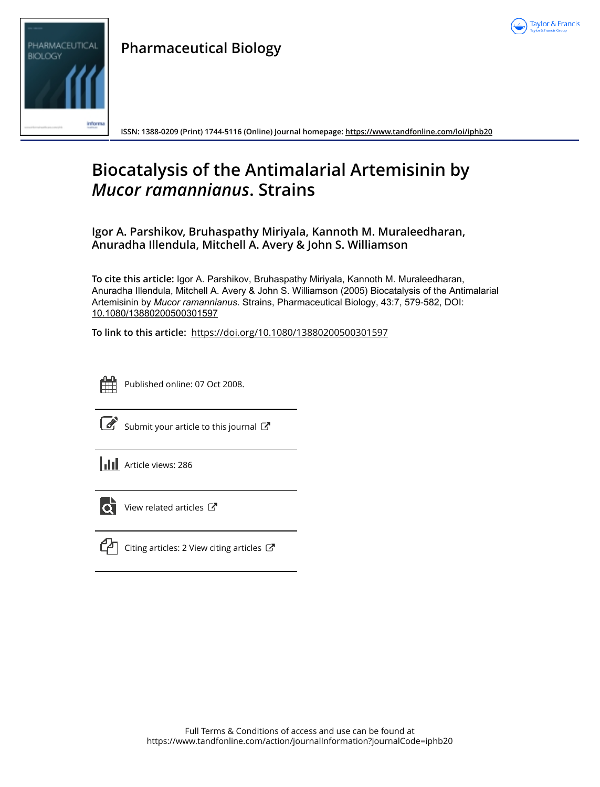

# PHARMACEUTICAL **BIOLOGY**

**Pharmaceutical Biology**

**ISSN: 1388-0209 (Print) 1744-5116 (Online) Journal homepage: https://www.tandfonline.com/loi/iphb20**

## **Biocatalysis of the Antimalarial Artemisinin by** *Mucor ramannianus***. Strains**

**Igor A. Parshikov, Bruhaspathy Miriyala, Kannoth M. Muraleedharan, Anuradha Illendula, Mitchell A. Avery & John S. Williamson**

**To cite this article:** Igor A. Parshikov, Bruhaspathy Miriyala, Kannoth M. Muraleedharan, Anuradha Illendula, Mitchell A. Avery & John S. Williamson (2005) Biocatalysis of the Antimalarial Artemisinin by *Mucorramannianus*. Strains, Pharmaceutical Biology, 43:7, 579-582, DOI: 10.1080/13880200500301597

**To link to this article:** https://doi.org/10.1080/13880200500301597



Published online: 07 Oct 2008.

 $\overline{\mathcal{C}}$  Submit your article to this journal  $\overline{\mathcal{C}}$ 

**Article views: 286** 



 $\overrightarrow{Q}$  View related articles  $\overrightarrow{C}$ 



 $\mathbb{C}$  Citing articles: 2 View citing articles  $\mathbb{C}^n$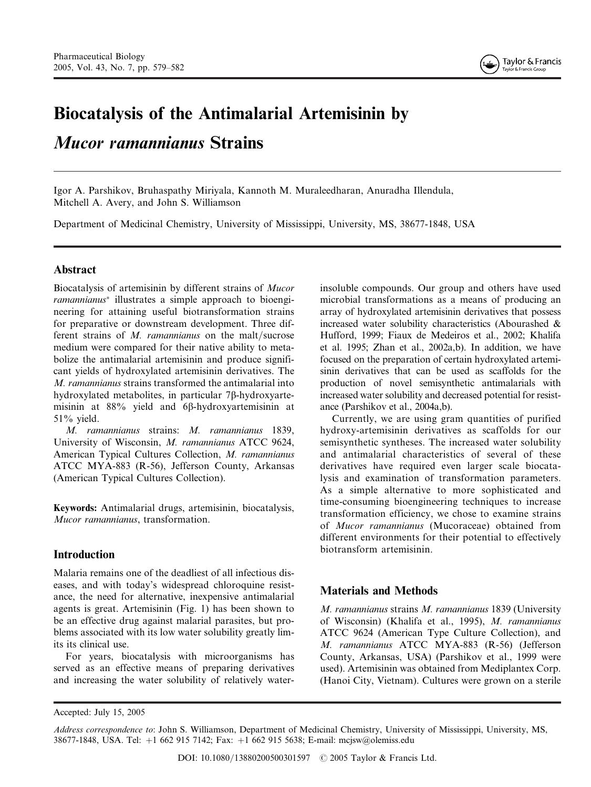

# Biocatalysis of the Antimalarial Artemisinin by

### Mucor ramannianus Strains

Igor A. Parshikov, Bruhaspathy Miriyala, Kannoth M. Muraleedharan, Anuradha Illendula, Mitchell A. Avery, and John S. Williamson

Department of Medicinal Chemistry, University of Mississippi, University, MS, 38677-1848, USA

#### Abstract

Biocatalysis of artemisinin by different strains of Mucor ramannianus<sup>\*</sup> illustrates a simple approach to bioengineering for attaining useful biotransformation strains for preparative or downstream development. Three different strains of M. ramannianus on the malt/sucrose medium were compared for their native ability to metabolize the antimalarial artemisinin and produce significant yields of hydroxylated artemisinin derivatives. The M. ramannianus strains transformed the antimalarial into hydroxylated metabolites, in particular 7b-hydroxyartemisinin at 88% yield and 6β-hydroxyartemisinin at  $51\%$  yield.

M. ramannianus strains: M. ramannianus 1839, University of Wisconsin, M. ramannianus ATCC 9624, American Typical Cultures Collection, M. ramannianus ATCC MYA-883 (R-56), Jefferson County, Arkansas (American Typical Cultures Collection).

Keywords: Antimalarial drugs, artemisinin, biocatalysis, Mucor ramannianus, transformation.

#### Introduction

Malaria remains one of the deadliest of all infectious diseases, and with today's widespread chloroquine resistance, the need for alternative, inexpensive antimalarial agents is great. Artemisinin (Fig. 1) has been shown to be an effective drug against malarial parasites, but problems associated with its low water solubility greatly limits its clinical use.

For years, biocatalysis with microorganisms has served as an effective means of preparing derivatives and increasing the water solubility of relatively waterinsoluble compounds. Our group and others have used microbial transformations as a means of producing an array of hydroxylated artemisinin derivatives that possess increased water solubility characteristics (Abourashed & Hufford, 1999; Fiaux de Medeiros et al., 2002; Khalifa et al. 1995; Zhan et al., 2002a,b). In addition, we have focused on the preparation of certain hydroxylated artemisinin derivatives that can be used as scaffolds for the production of novel semisynthetic antimalarials with increased water solubility and decreased potential for resistance (Parshikov et al., 2004a,b).

Currently, we are using gram quantities of purified hydroxy-artemisinin derivatives as scaffolds for our semisynthetic syntheses. The increased water solubility and antimalarial characteristics of several of these derivatives have required even larger scale biocatalysis and examination of transformation parameters. As a simple alternative to more sophisticated and time-consuming bioengineering techniques to increase transformation efficiency, we chose to examine strains of Mucor ramannianus (Mucoraceae) obtained from different environments for their potential to effectively biotransform artemisinin.

#### Materials and Methods

M. ramannianus strains M. ramannianus 1839 (University of Wisconsin) (Khalifa et al., 1995), M. ramannianus ATCC 9624 (American Type Culture Collection), and M. ramannianus ATCC MYA-883 (R-56) (Jefferson County, Arkansas, USA) (Parshikov et al., 1999 were used). Artemisinin was obtained from Mediplantex Corp. (Hanoi City, Vietnam). Cultures were grown on a sterile

Accepted: July 15, 2005

Address correspondence to: John S. Williamson, Department of Medicinal Chemistry, University of Mississippi, University, MS, 38677-1848, USA. Tel: þ1 662 915 7142; Fax: þ1 662 915 5638; E-mail: mcjsw@olemiss.edu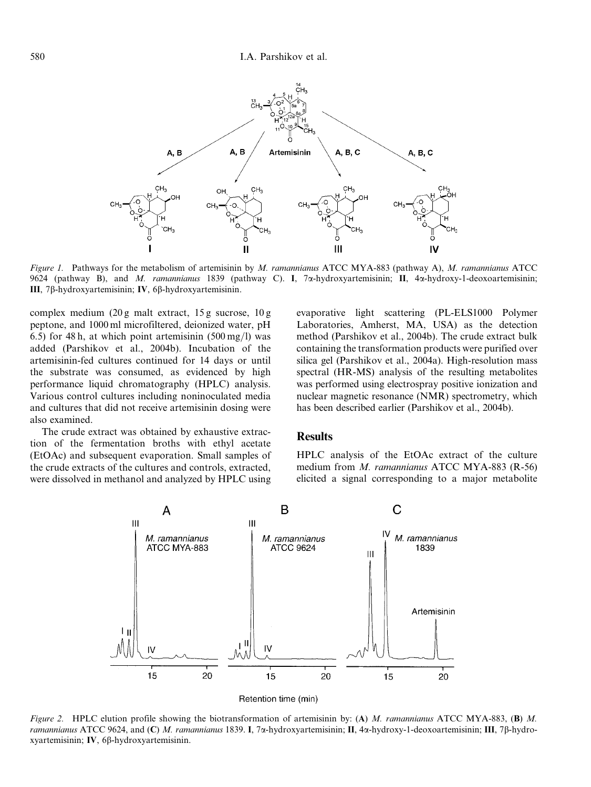

Figure 1. Pathways for the metabolism of artemisinin by M. ramannianus ATCC MYA-883 (pathway A), M. ramannianus ATCC 9624 (pathway B), and M. ramannianus 1839 (pathway C). I, 7a-hydroxyartemisinin; II, 4a-hydroxy-1-deoxoartemisinin; III, 7b-hydroxyartemisinin; IV, 6b-hydroxyartemisinin.

complex medium (20 g malt extract, 15 g sucrose, 10 g peptone, and 1000 ml microfiltered, deionized water, pH 6.5) for 48 h, at which point artemisinin  $(500 \,\text{mg/l})$  was added (Parshikov et al., 2004b). Incubation of the artemisinin-fed cultures continued for 14 days or until the substrate was consumed, as evidenced by high performance liquid chromatography (HPLC) analysis. Various control cultures including noninoculated media and cultures that did not receive artemisinin dosing were also examined.

The crude extract was obtained by exhaustive extraction of the fermentation broths with ethyl acetate (EtOAc) and subsequent evaporation. Small samples of the crude extracts of the cultures and controls, extracted, were dissolved in methanol and analyzed by HPLC using evaporative light scattering (PL-ELS1000 Polymer Laboratories, Amherst, MA, USA) as the detection method (Parshikov et al., 2004b). The crude extract bulk containing the transformation products were purified over silica gel (Parshikov et al., 2004a). High-resolution mass spectral (HR-MS) analysis of the resulting metabolites was performed using electrospray positive ionization and nuclear magnetic resonance (NMR) spectrometry, which has been described earlier (Parshikov et al., 2004b).

#### Results

HPLC analysis of the EtOAc extract of the culture medium from *M. ramannianus* ATCC MYA-883 (R-56) elicited a signal corresponding to a major metabolite



Figure 2. HPLC elution profile showing the biotransformation of artemisinin by: (A) M. ramannianus ATCC MYA-883, (B) M. ramannianus ATCC 9624, and (C) M. ramannianus 1839. I, 7 $\alpha$ -hydroxyartemisinin; II, 4 $\alpha$ -hydroxy-1-deoxoartemisinin; III, 7 $\beta$ -hydroxyartemisinin; IV, 6b-hydroxyartemisinin.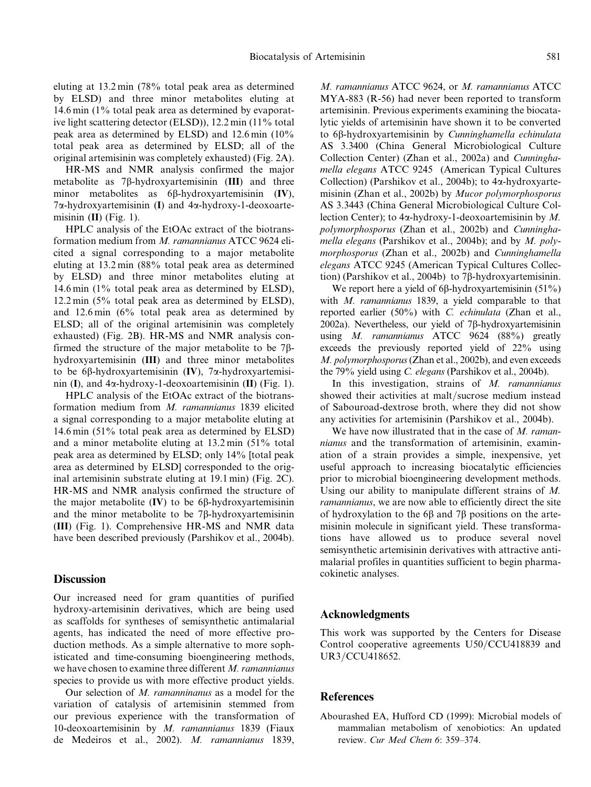eluting at 13.2 min (78% total peak area as determined by ELSD) and three minor metabolites eluting at 14.6 min (1% total peak area as determined by evaporative light scattering detector (ELSD)), 12.2 min (11% total peak area as determined by ELSD) and 12.6 min (10% total peak area as determined by ELSD; all of the original artemisinin was completely exhausted) (Fig. 2A).

HR-MS and NMR analysis confirmed the major metabolite as  $7\beta$ -hydroxyartemisinin (III) and three minor metabolites as  $6\beta$ -hydroxyartemisinin (IV),  $7\alpha$ -hydroxyartemisinin (I) and  $4\alpha$ -hydroxy-1-deoxoartemisinin  $(II)$  (Fig. 1).

HPLC analysis of the EtOAc extract of the biotransformation medium from M. ramannianus ATCC 9624 elicited a signal corresponding to a major metabolite eluting at 13.2 min (88% total peak area as determined by ELSD) and three minor metabolites eluting at 14.6 min (1% total peak area as determined by ELSD), 12.2 min (5% total peak area as determined by ELSD), and 12.6 min (6% total peak area as determined by ELSD; all of the original artemisinin was completely exhausted) (Fig. 2B). HR-MS and NMR analysis confirmed the structure of the major metabolite to be  $7\beta$ hydroxyartemisinin (III) and three minor metabolites to be 6 $\beta$ -hydroxyartemisinin (IV), 7 $\alpha$ -hydroxyartemisinin (I), and  $4\alpha$ -hydroxy-1-deoxoartemisinin (II) (Fig. 1).

HPLC analysis of the EtOAc extract of the biotransformation medium from M. ramannianus 1839 elicited a signal corresponding to a major metabolite eluting at 14.6 min (51% total peak area as determined by ELSD) and a minor metabolite eluting at 13.2 min (51% total peak area as determined by ELSD; only 14% [total peak area as determined by ELSD] corresponded to the original artemisinin substrate eluting at 19.1 min) (Fig. 2C). HR-MS and NMR analysis confirmed the structure of the major metabolite  $(IV)$  to be 6 $\beta$ -hydroxyartemisinin and the minor metabolite to be  $7\beta$ -hydroxyartemisinin (III) (Fig. 1). Comprehensive HR-MS and NMR data have been described previously (Parshikov et al., 2004b).

#### **Discussion**

Our increased need for gram quantities of purified hydroxy-artemisinin derivatives, which are being used as scaffolds for syntheses of semisynthetic antimalarial agents, has indicated the need of more effective production methods. As a simple alternative to more sophisticated and time-consuming bioengineering methods, we have chosen to examine three different M. ramannianus species to provide us with more effective product yields.

Our selection of M. ramanninanus as a model for the variation of catalysis of artemisinin stemmed from our previous experience with the transformation of 10-deoxoartemisinin by M. ramannianus 1839 (Fiaux de Medeiros et al., 2002). M. ramannianus 1839, M. ramannianus ATCC 9624, or M. ramannianus ATCC MYA-883 (R-56) had never been reported to transform artemisinin. Previous experiments examining the biocatalytic yields of artemisinin have shown it to be converted to 6β-hydroxyartemisinin by *Cunninghamella echinulata* AS 3.3400 (China General Microbiological Culture Collection Center) (Zhan et al., 2002a) and Cunninghamella elegans ATCC 9245 (American Typical Cultures Collection) (Parshikov et al., 2004b); to 4a-hydroxyartemisinin (Zhan et al., 2002b) by Mucor polymorphosporus AS 3.3443 (China General Microbiological Culture Collection Center); to  $4\alpha$ -hydroxy-1-deoxoartemisinin by M. polymorphosporus (Zhan et al., 2002b) and Cunninghamella elegans (Parshikov et al., 2004b); and by  $M.$  polymorphosporus (Zhan et al., 2002b) and Cunninghamella elegans ATCC 9245 (American Typical Cultures Collection) (Parshikov et al., 2004b) to 7 $\beta$ -hydroxyartemisinin.

We report here a yield of  $6\beta$ -hydroxyartemisinin  $(51\%)$ with M. ramannianus 1839, a yield comparable to that reported earlier (50%) with C. echinulata (Zhan et al., 2002a). Nevertheless, our yield of  $7\beta$ -hydroxyartemisinin using M. ramannianus ATCC 9624 (88%) greatly exceeds the previously reported yield of 22% using M. polymorphosporus(Zhan et al., 2002b), and even exceeds the 79% yield using C. elegans (Parshikov et al., 2004b).

In this investigation, strains of M. ramannianus showed their activities at malt/sucrose medium instead of Sabouroad-dextrose broth, where they did not show any activities for artemisinin (Parshikov et al., 2004b).

We have now illustrated that in the case of M. ramannianus and the transformation of artemisinin, examination of a strain provides a simple, inexpensive, yet useful approach to increasing biocatalytic efficiencies prior to microbial bioengineering development methods. Using our ability to manipulate different strains of M. ramannianus, we are now able to efficiently direct the site of hydroxylation to the  $6\beta$  and  $7\beta$  positions on the artemisinin molecule in significant yield. These transformations have allowed us to produce several novel semisynthetic artemisinin derivatives with attractive antimalarial profiles in quantities sufficient to begin pharmacokinetic analyses.

#### Acknowledgments

This work was supported by the Centers for Disease Control cooperative agreements  $U50/CCU418839$  and UR3/CCU418652.

#### **References**

Abourashed EA, Hufford CD (1999): Microbial models of mammalian metabolism of xenobiotics: An updated review. Cur Med Chem 6: 359–374.